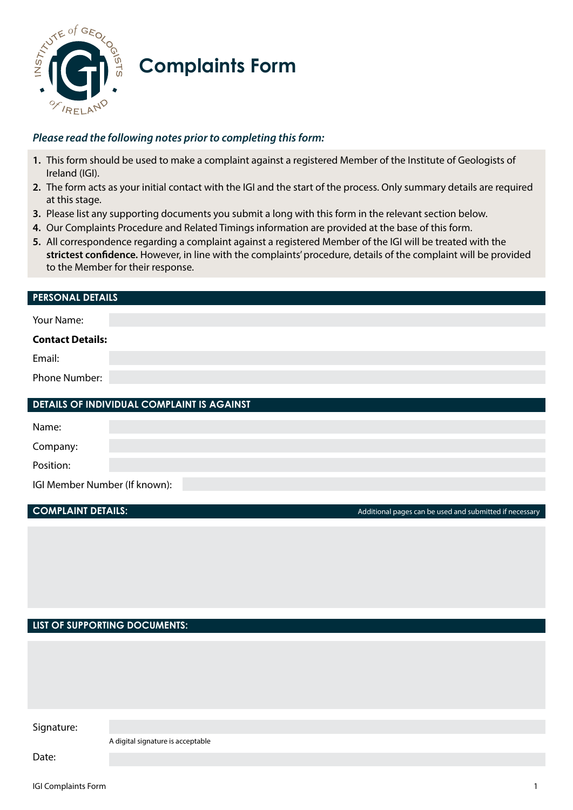

# **Complaints Form**

# *Please read the following notes prior to completing this form:*

- **1.** This form should be used to make a complaint against a registered Member of the Institute of Geologists of Ireland (IGI).
- **2.** The form acts as your initial contact with the IGI and the start of the process. Only summary details are required at this stage.
- **3.** Please list any supporting documents you submit a long with this form in the relevant section below.
- **4.** Our Complaints Procedure and Related Timings information are provided at the base of this form.
- **5.** All correspondence regarding a complaint against a registered Member of the IGI will be treated with the **strictest confidence.** However, in line with the complaints' procedure, details of the complaint will be provided to the Member for their response.

# **PERSONAL DETAILS**

| <b>Contact Details:</b><br>Email:<br>Phone Number: | Your Name: |  |
|----------------------------------------------------|------------|--|
|                                                    |            |  |
|                                                    |            |  |
|                                                    |            |  |

| <b>DETAILS OF INDIVIDUAL COMPLAINT IS AGAINST</b> |  |
|---------------------------------------------------|--|
|---------------------------------------------------|--|

| Name:                         |  |  |
|-------------------------------|--|--|
| Company:                      |  |  |
| Position:                     |  |  |
| IGI Member Number (If known): |  |  |

|  | <b>COMPLAINT DETAILS:</b> |
|--|---------------------------|
|  |                           |
|  |                           |

**COMPLAINT DETAILS:** Additional pages can be used and submitted if necessary

#### **LIST OF SUPPORTING DOCUMENTS:**

| Signature: |                                   |
|------------|-----------------------------------|
|            |                                   |
|            | A digital signature is acceptable |
| Date:      |                                   |